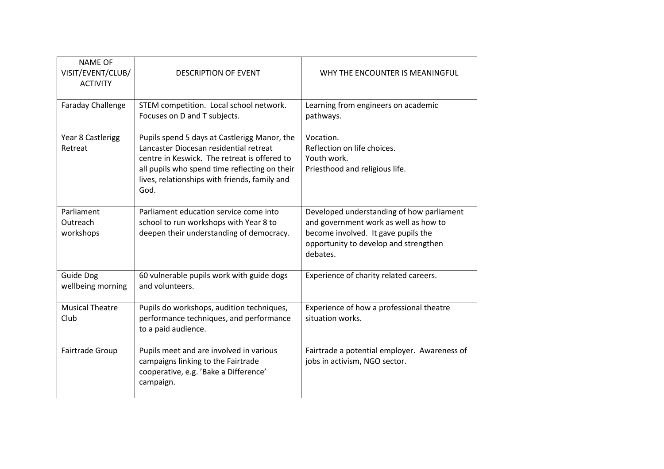| <b>NAME OF</b><br>VISIT/EVENT/CLUB/<br><b>ACTIVITY</b> | <b>DESCRIPTION OF EVENT</b>                                                                                                                                                                                                                      | WHY THE ENCOUNTER IS MEANINGFUL                                                                                                                                                |
|--------------------------------------------------------|--------------------------------------------------------------------------------------------------------------------------------------------------------------------------------------------------------------------------------------------------|--------------------------------------------------------------------------------------------------------------------------------------------------------------------------------|
| Faraday Challenge                                      | STEM competition. Local school network.<br>Focuses on D and T subjects.                                                                                                                                                                          | Learning from engineers on academic<br>pathways.                                                                                                                               |
| Year 8 Castlerigg<br>Retreat                           | Pupils spend 5 days at Castlerigg Manor, the<br>Lancaster Diocesan residential retreat<br>centre in Keswick. The retreat is offered to<br>all pupils who spend time reflecting on their<br>lives, relationships with friends, family and<br>God. | Vocation.<br>Reflection on life choices.<br>Youth work.<br>Priesthood and religious life.                                                                                      |
| Parliament<br>Outreach<br>workshops                    | Parliament education service come into<br>school to run workshops with Year 8 to<br>deepen their understanding of democracy.                                                                                                                     | Developed understanding of how parliament<br>and government work as well as how to<br>become involved. It gave pupils the<br>opportunity to develop and strengthen<br>debates. |
| <b>Guide Dog</b><br>wellbeing morning                  | 60 vulnerable pupils work with guide dogs<br>and volunteers.                                                                                                                                                                                     | Experience of charity related careers.                                                                                                                                         |
| <b>Musical Theatre</b><br>Club                         | Pupils do workshops, audition techniques,<br>performance techniques, and performance<br>to a paid audience.                                                                                                                                      | Experience of how a professional theatre<br>situation works.                                                                                                                   |
| Fairtrade Group                                        | Pupils meet and are involved in various<br>campaigns linking to the Fairtrade<br>cooperative, e.g. 'Bake a Difference'<br>campaign.                                                                                                              | Fairtrade a potential employer. Awareness of<br>jobs in activism, NGO sector.                                                                                                  |